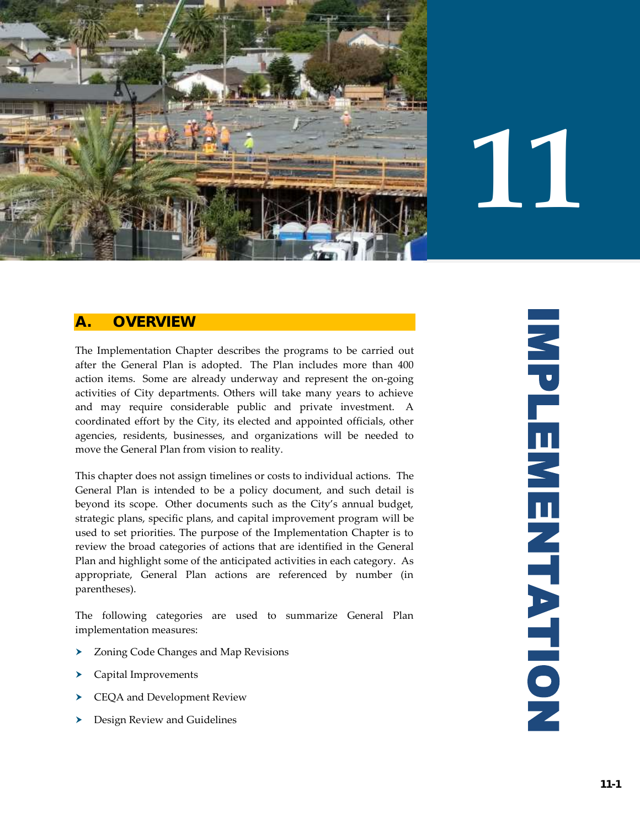

# **11**

# **A. OVERVIEW**

The Implementation Chapter describes the programs to be carried out after the General Plan is adopted. The Plan includes more than 400 action items. Some are already underway and represent the on-going activities of City departments. Others will take many years to achieve and may require considerable public and private investment. A coordinated effort by the City, its elected and appointed officials, other agencies, residents, businesses, and organizations will be needed to move the General Plan from vision to reality.

This chapter does not assign timelines or costs to individual actions. The General Plan is intended to be a policy document, and such detail is beyond its scope. Other documents such as the City's annual budget, strategic plans, specific plans, and capital improvement program will be used to set priorities. The purpose of the Implementation Chapter is to review the broad categories of actions that are identified in the General Plan and highlight some of the anticipated activities in each category. As appropriate, General Plan actions are referenced by number (in parentheses).

The following categories are used to summarize General Plan implementation measures:

- > Zoning Code Changes and Map Revisions
- Capital Improvements
- CEQA and Development Review
- **Design Review and Guidelines**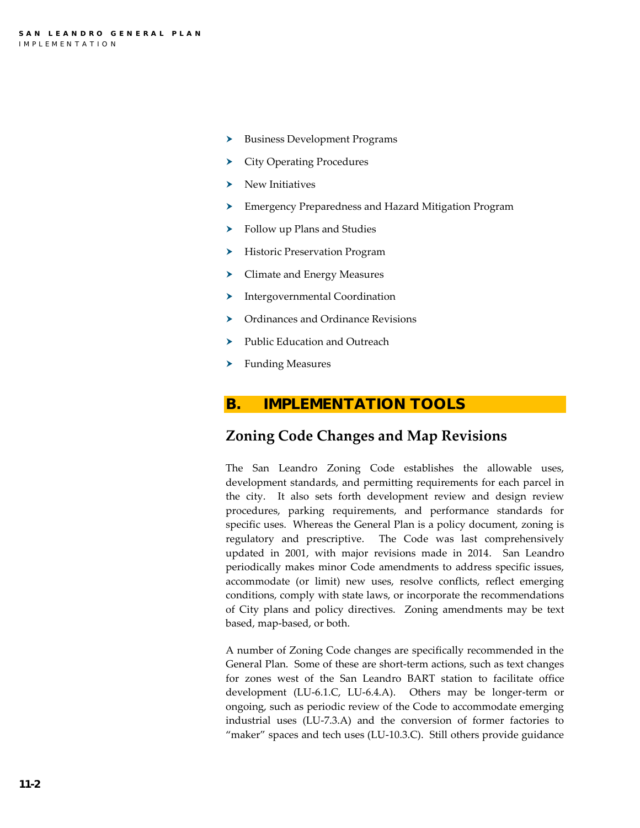- **Business Development Programs**
- City Operating Procedures
- New Initiatives
- Emergency Preparedness and Hazard Mitigation Program
- Follow up Plans and Studies
- Historic Preservation Program
- > Climate and Energy Measures
- > Intergovernmental Coordination
- ▶ Ordinances and Ordinance Revisions
- > Public Education and Outreach
- > Funding Measures

#### **B. IMPLEMENTATION TOOLS**

## **Zoning Code Changes and Map Revisions**

The San Leandro Zoning Code establishes the allowable uses, development standards, and permitting requirements for each parcel in the city. It also sets forth development review and design review procedures, parking requirements, and performance standards for specific uses. Whereas the General Plan is a policy document, zoning is regulatory and prescriptive. The Code was last comprehensively updated in 2001, with major revisions made in 2014. San Leandro periodically makes minor Code amendments to address specific issues, accommodate (or limit) new uses, resolve conflicts, reflect emerging conditions, comply with state laws, or incorporate the recommendations of City plans and policy directives. Zoning amendments may be text based, map-based, or both.

A number of Zoning Code changes are specifically recommended in the General Plan. Some of these are short-term actions, such as text changes for zones west of the San Leandro BART station to facilitate office development (LU-6.1.C, LU-6.4.A). Others may be longer-term or ongoing, such as periodic review of the Code to accommodate emerging industrial uses (LU-7.3.A) and the conversion of former factories to "maker" spaces and tech uses (LU-10.3.C). Still others provide guidance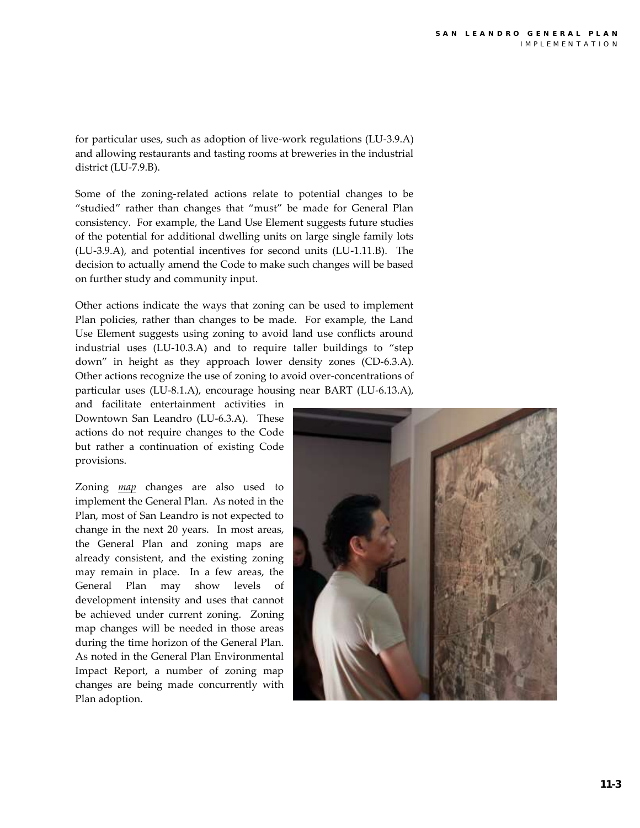for particular uses, such as adoption of live-work regulations (LU-3.9.A) and allowing restaurants and tasting rooms at breweries in the industrial district (LU-7.9.B).

Some of the zoning-related actions relate to potential changes to be "studied" rather than changes that "must" be made for General Plan consistency. For example, the Land Use Element suggests future studies of the potential for additional dwelling units on large single family lots (LU-3.9.A), and potential incentives for second units (LU-1.11.B). The decision to actually amend the Code to make such changes will be based on further study and community input.

Other actions indicate the ways that zoning can be used to implement Plan policies, rather than changes to be made. For example, the Land Use Element suggests using zoning to avoid land use conflicts around industrial uses (LU-10.3.A) and to require taller buildings to "step down" in height as they approach lower density zones (CD-6.3.A). Other actions recognize the use of zoning to avoid over-concentrations of particular uses (LU-8.1.A), encourage housing near BART (LU-6.13.A),

and facilitate entertainment activities in Downtown San Leandro (LU-6.3.A). These actions do not require changes to the Code but rather a continuation of existing Code provisions.

Zoning *map* changes are also used to implement the General Plan. As noted in the Plan, most of San Leandro is not expected to change in the next 20 years. In most areas, the General Plan and zoning maps are already consistent, and the existing zoning may remain in place. In a few areas, the General Plan may show levels of development intensity and uses that cannot be achieved under current zoning. Zoning map changes will be needed in those areas during the time horizon of the General Plan. As noted in the General Plan Environmental Impact Report, a number of zoning map changes are being made concurrently with Plan adoption.

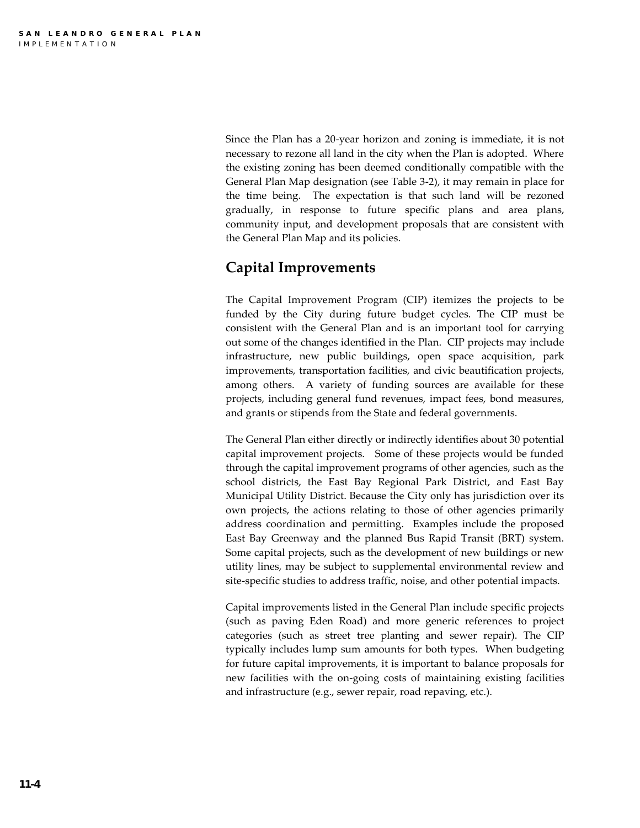Since the Plan has a 20-year horizon and zoning is immediate, it is not necessary to rezone all land in the city when the Plan is adopted. Where the existing zoning has been deemed conditionally compatible with the General Plan Map designation (see Table 3-2), it may remain in place for the time being. The expectation is that such land will be rezoned gradually, in response to future specific plans and area plans, community input, and development proposals that are consistent with the General Plan Map and its policies.

# **Capital Improvements**

The Capital Improvement Program (CIP) itemizes the projects to be funded by the City during future budget cycles. The CIP must be consistent with the General Plan and is an important tool for carrying out some of the changes identified in the Plan. CIP projects may include infrastructure, new public buildings, open space acquisition, park improvements, transportation facilities, and civic beautification projects, among others. A variety of funding sources are available for these projects, including general fund revenues, impact fees, bond measures, and grants or stipends from the State and federal governments.

The General Plan either directly or indirectly identifies about 30 potential capital improvement projects. Some of these projects would be funded through the capital improvement programs of other agencies, such as the school districts, the East Bay Regional Park District, and East Bay Municipal Utility District. Because the City only has jurisdiction over its own projects, the actions relating to those of other agencies primarily address coordination and permitting. Examples include the proposed East Bay Greenway and the planned Bus Rapid Transit (BRT) system. Some capital projects, such as the development of new buildings or new utility lines, may be subject to supplemental environmental review and site-specific studies to address traffic, noise, and other potential impacts.

Capital improvements listed in the General Plan include specific projects (such as paving Eden Road) and more generic references to project categories (such as street tree planting and sewer repair). The CIP typically includes lump sum amounts for both types. When budgeting for future capital improvements, it is important to balance proposals for new facilities with the on-going costs of maintaining existing facilities and infrastructure (e.g., sewer repair, road repaving, etc.).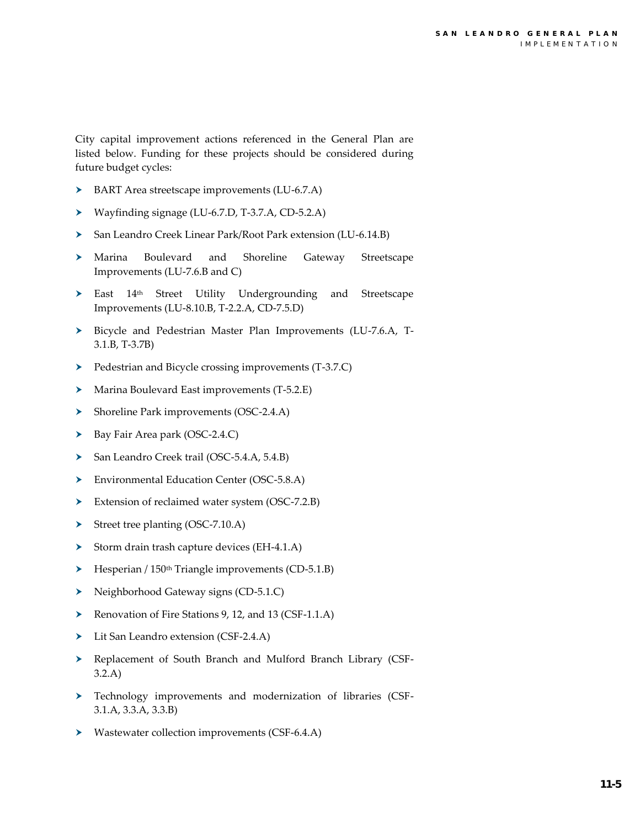City capital improvement actions referenced in the General Plan are listed below. Funding for these projects should be considered during future budget cycles:

- BART Area streetscape improvements (LU-6.7.A)
- Wayfinding signage (LU-6.7.D, T-3.7.A, CD-5.2.A)
- San Leandro Creek Linear Park/Root Park extension (LU-6.14.B)
- Marina Boulevard and Shoreline Gateway Streetscape Improvements (LU-7.6.B and C)
- East 14th Street Utility Undergrounding and Streetscape Improvements (LU-8.10.B, T-2.2.A, CD-7.5.D)
- Bicycle and Pedestrian Master Plan Improvements (LU-7.6.A, T-3.1.B, T-3.7B)
- Pedestrian and Bicycle crossing improvements (T-3.7.C)
- Marina Boulevard East improvements (T-5.2.E)
- Shoreline Park improvements (OSC-2.4.A)
- ▶ Bay Fair Area park (OSC-2.4.C)
- San Leandro Creek trail (OSC-5.4.A, 5.4.B)
- Environmental Education Center (OSC-5.8.A)
- Extension of reclaimed water system (OSC-7.2.B)
- Street tree planting (OSC-7.10.A)
- Storm drain trash capture devices (EH-4.1.A)
- Hesperian / 150<sup>th</sup> Triangle improvements (CD-5.1.B)
- Neighborhood Gateway signs (CD-5.1.C)
- Renovation of Fire Stations 9, 12, and 13 (CSF-1.1.A)
- Lit San Leandro extension (CSF-2.4.A)
- Replacement of South Branch and Mulford Branch Library (CSF-3.2.A)
- Technology improvements and modernization of libraries (CSF-3.1.A, 3.3.A, 3.3.B)
- Wastewater collection improvements (CSF-6.4.A)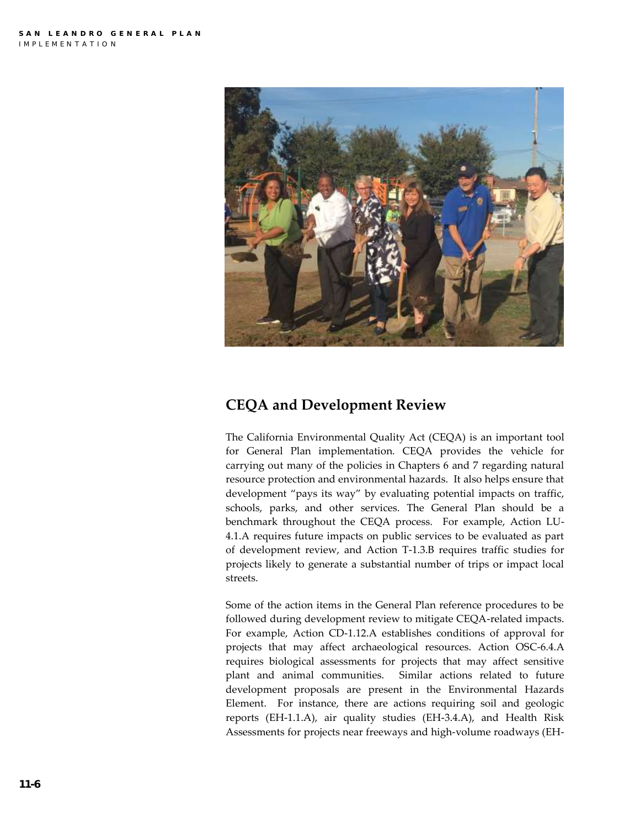

# **CEQA and Development Review**

The California Environmental Quality Act (CEQA) is an important tool for General Plan implementation. CEQA provides the vehicle for carrying out many of the policies in Chapters 6 and 7 regarding natural resource protection and environmental hazards. It also helps ensure that development "pays its way" by evaluating potential impacts on traffic, schools, parks, and other services. The General Plan should be a benchmark throughout the CEQA process. For example, Action LU-4.1.A requires future impacts on public services to be evaluated as part of development review, and Action T-1.3.B requires traffic studies for projects likely to generate a substantial number of trips or impact local streets.

Some of the action items in the General Plan reference procedures to be followed during development review to mitigate CEQA-related impacts. For example, Action CD-1.12.A establishes conditions of approval for projects that may affect archaeological resources. Action OSC-6.4.A requires biological assessments for projects that may affect sensitive plant and animal communities. Similar actions related to future development proposals are present in the Environmental Hazards Element. For instance, there are actions requiring soil and geologic reports (EH-1.1.A), air quality studies (EH-3.4.A), and Health Risk Assessments for projects near freeways and high-volume roadways (EH-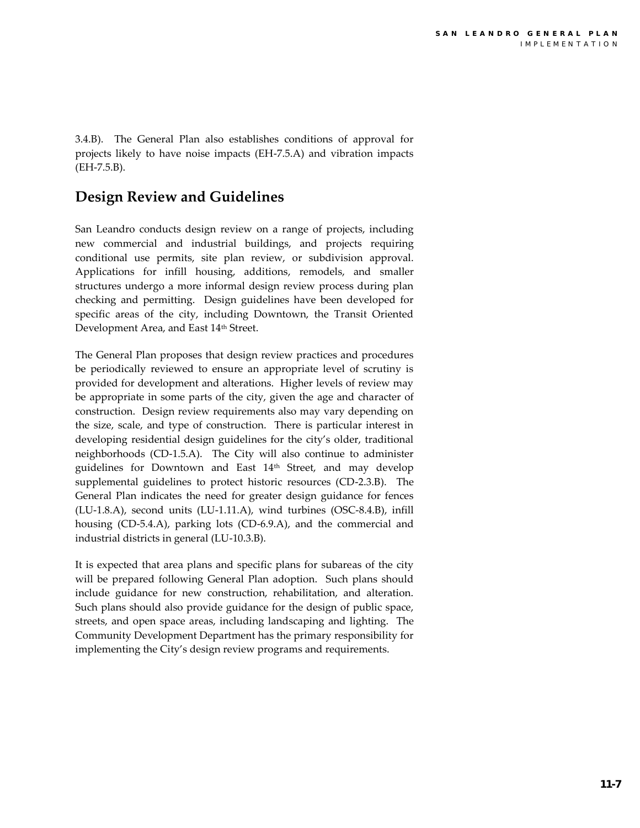3.4.B). The General Plan also establishes conditions of approval for projects likely to have noise impacts (EH-7.5.A) and vibration impacts (EH-7.5.B).

# **Design Review and Guidelines**

San Leandro conducts design review on a range of projects, including new commercial and industrial buildings, and projects requiring conditional use permits, site plan review, or subdivision approval. Applications for infill housing, additions, remodels, and smaller structures undergo a more informal design review process during plan checking and permitting. Design guidelines have been developed for specific areas of the city, including Downtown, the Transit Oriented Development Area, and East 14<sup>th</sup> Street.

The General Plan proposes that design review practices and procedures be periodically reviewed to ensure an appropriate level of scrutiny is provided for development and alterations. Higher levels of review may be appropriate in some parts of the city, given the age and character of construction. Design review requirements also may vary depending on the size, scale, and type of construction. There is particular interest in developing residential design guidelines for the city's older, traditional neighborhoods (CD-1.5.A). The City will also continue to administer guidelines for Downtown and East 14th Street, and may develop supplemental guidelines to protect historic resources (CD-2.3.B). The General Plan indicates the need for greater design guidance for fences (LU-1.8.A), second units (LU-1.11.A), wind turbines (OSC-8.4.B), infill housing (CD-5.4.A), parking lots (CD-6.9.A), and the commercial and industrial districts in general (LU-10.3.B).

It is expected that area plans and specific plans for subareas of the city will be prepared following General Plan adoption. Such plans should include guidance for new construction, rehabilitation, and alteration. Such plans should also provide guidance for the design of public space, streets, and open space areas, including landscaping and lighting. The Community Development Department has the primary responsibility for implementing the City's design review programs and requirements.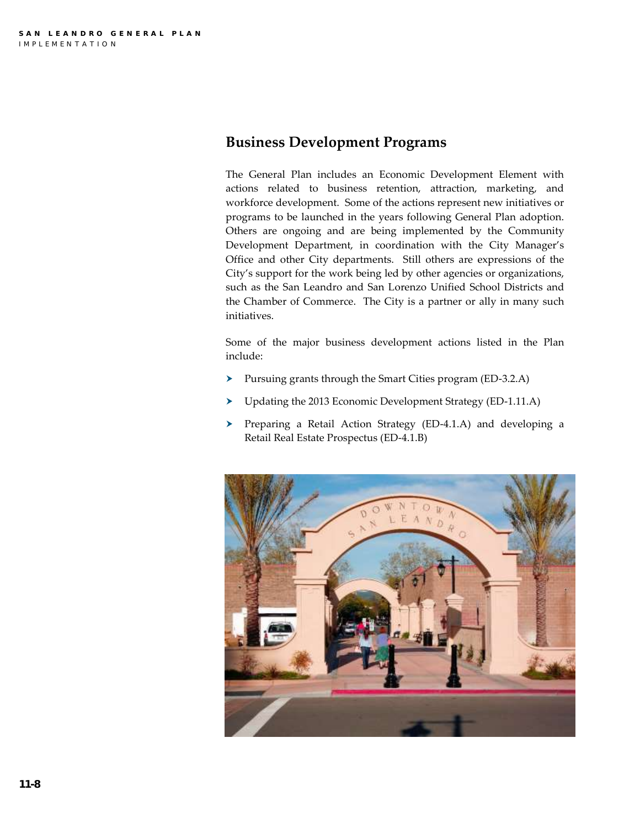## **Business Development Programs**

The General Plan includes an Economic Development Element with actions related to business retention, attraction, marketing, and workforce development. Some of the actions represent new initiatives or programs to be launched in the years following General Plan adoption. Others are ongoing and are being implemented by the Community Development Department, in coordination with the City Manager's Office and other City departments. Still others are expressions of the City's support for the work being led by other agencies or organizations, such as the San Leandro and San Lorenzo Unified School Districts and the Chamber of Commerce. The City is a partner or ally in many such initiatives.

Some of the major business development actions listed in the Plan include:

- Pursuing grants through the Smart Cities program (ED-3.2.A)
- Updating the 2013 Economic Development Strategy (ED-1.11.A)
- Preparing a Retail Action Strategy (ED-4.1.A) and developing a Retail Real Estate Prospectus (ED-4.1.B)

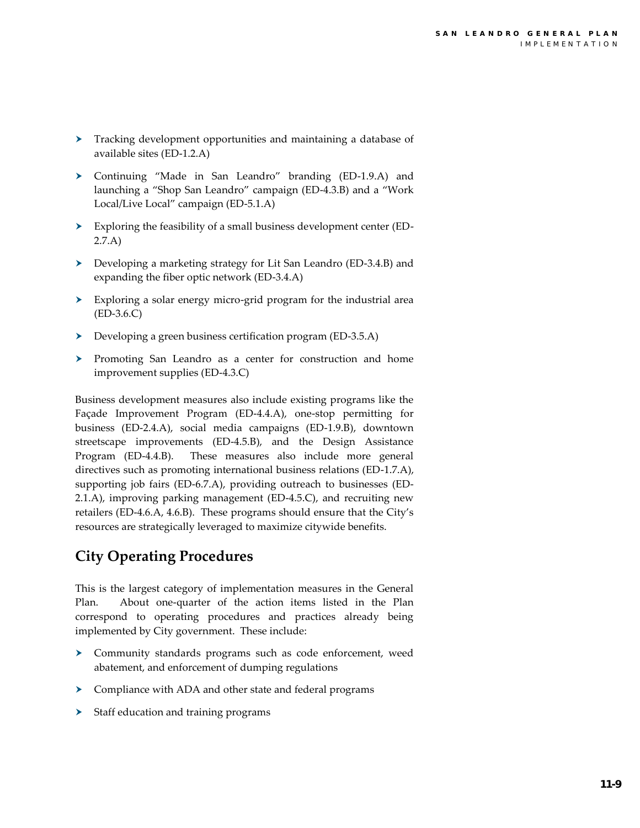- Tracking development opportunities and maintaining a database of available sites (ED-1.2.A)
- Continuing "Made in San Leandro" branding (ED-1.9.A) and launching a "Shop San Leandro" campaign (ED-4.3.B) and a "Work Local/Live Local" campaign (ED-5.1.A)
- Exploring the feasibility of a small business development center (ED-2.7.A)
- Developing a marketing strategy for Lit San Leandro (ED-3.4.B) and expanding the fiber optic network (ED-3.4.A)
- Exploring a solar energy micro-grid program for the industrial area (ED-3.6.C)
- Developing a green business certification program (ED-3.5.A)
- > Promoting San Leandro as a center for construction and home improvement supplies (ED-4.3.C)

Business development measures also include existing programs like the Façade Improvement Program (ED-4.4.A), one-stop permitting for business (ED-2.4.A), social media campaigns (ED-1.9.B), downtown streetscape improvements (ED-4.5.B), and the Design Assistance Program (ED-4.4.B). These measures also include more general directives such as promoting international business relations (ED-1.7.A), supporting job fairs (ED-6.7.A), providing outreach to businesses (ED-2.1.A), improving parking management (ED-4.5.C), and recruiting new retailers (ED-4.6.A, 4.6.B). These programs should ensure that the City's resources are strategically leveraged to maximize citywide benefits.

# **City Operating Procedures**

This is the largest category of implementation measures in the General Plan. About one-quarter of the action items listed in the Plan correspond to operating procedures and practices already being implemented by City government. These include:

- Community standards programs such as code enforcement, weed abatement, and enforcement of dumping regulations
- Compliance with ADA and other state and federal programs
- Staff education and training programs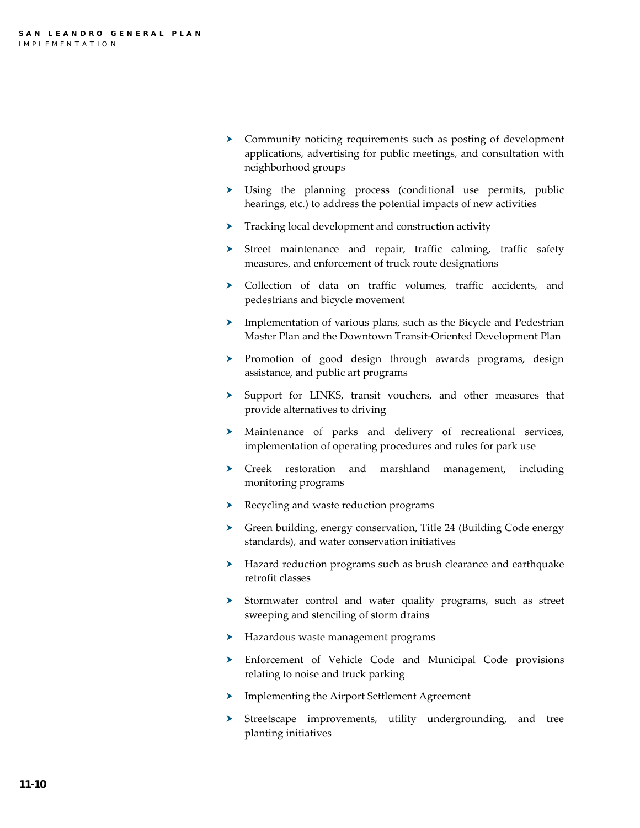- Community noticing requirements such as posting of development applications, advertising for public meetings, and consultation with neighborhood groups
- Using the planning process (conditional use permits, public hearings, etc.) to address the potential impacts of new activities
- $\triangleright$  Tracking local development and construction activity
- Street maintenance and repair, traffic calming, traffic safety measures, and enforcement of truck route designations
- Collection of data on traffic volumes, traffic accidents, and pedestrians and bicycle movement
- > Implementation of various plans, such as the Bicycle and Pedestrian Master Plan and the Downtown Transit-Oriented Development Plan
- > Promotion of good design through awards programs, design assistance, and public art programs
- > Support for LINKS, transit vouchers, and other measures that provide alternatives to driving
- Maintenance of parks and delivery of recreational services, implementation of operating procedures and rules for park use
- $\triangleright$  Creek restoration and marshland management, including monitoring programs
- Recycling and waste reduction programs
- Green building, energy conservation, Title 24 (Building Code energy standards), and water conservation initiatives
- Hazard reduction programs such as brush clearance and earthquake retrofit classes
- > Stormwater control and water quality programs, such as street sweeping and stenciling of storm drains
- Hazardous waste management programs
- Enforcement of Vehicle Code and Municipal Code provisions relating to noise and truck parking
- Implementing the Airport Settlement Agreement
- Streetscape improvements, utility undergrounding, and tree planting initiatives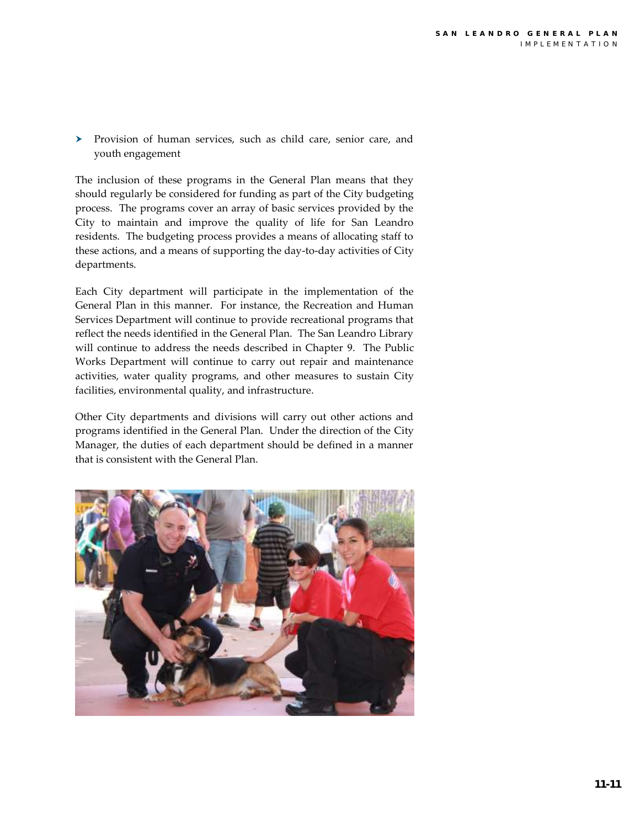Provision of human services, such as child care, senior care, and youth engagement

The inclusion of these programs in the General Plan means that they should regularly be considered for funding as part of the City budgeting process. The programs cover an array of basic services provided by the City to maintain and improve the quality of life for San Leandro residents. The budgeting process provides a means of allocating staff to these actions, and a means of supporting the day-to-day activities of City departments.

Each City department will participate in the implementation of the General Plan in this manner. For instance, the Recreation and Human Services Department will continue to provide recreational programs that reflect the needs identified in the General Plan. The San Leandro Library will continue to address the needs described in Chapter 9. The Public Works Department will continue to carry out repair and maintenance activities, water quality programs, and other measures to sustain City facilities, environmental quality, and infrastructure.

Other City departments and divisions will carry out other actions and programs identified in the General Plan. Under the direction of the City Manager, the duties of each department should be defined in a manner that is consistent with the General Plan.

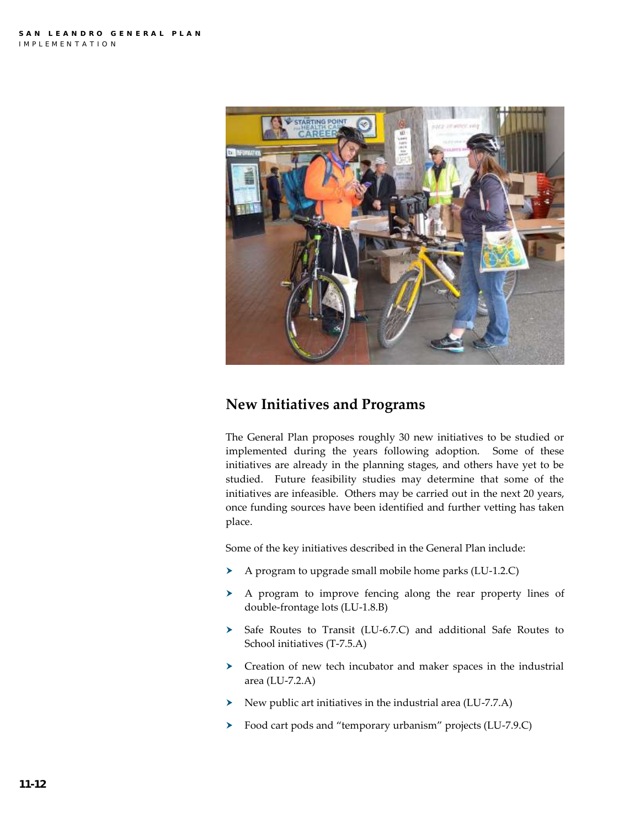

# **New Initiatives and Programs**

The General Plan proposes roughly 30 new initiatives to be studied or implemented during the years following adoption. Some of these initiatives are already in the planning stages, and others have yet to be studied. Future feasibility studies may determine that some of the initiatives are infeasible. Others may be carried out in the next 20 years, once funding sources have been identified and further vetting has taken place.

Some of the key initiatives described in the General Plan include:

- A program to upgrade small mobile home parks (LU-1.2.C)
- A program to improve fencing along the rear property lines of double-frontage lots (LU-1.8.B)
- > Safe Routes to Transit (LU-6.7.C) and additional Safe Routes to School initiatives (T-7.5.A)
- Creation of new tech incubator and maker spaces in the industrial area (LU-7.2.A)
- $\triangleright$  New public art initiatives in the industrial area (LU-7.7.A)
- Food cart pods and "temporary urbanism" projects (LU-7.9.C)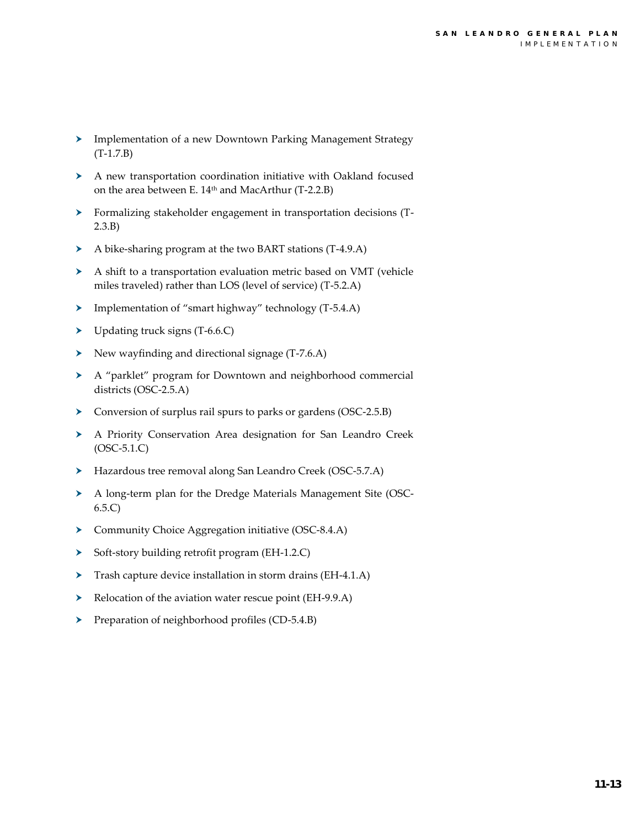- Implementation of a new Downtown Parking Management Strategy (T-1.7.B)
- A new transportation coordination initiative with Oakland focused on the area between E. 14th and MacArthur (T-2.2.B)
- Formalizing stakeholder engagement in transportation decisions (T-2.3.B)
- A bike-sharing program at the two BART stations (T-4.9.A)
- A shift to a transportation evaluation metric based on VMT (vehicle miles traveled) rather than LOS (level of service) (T-5.2.A)
- Implementation of "smart highway" technology (T-5.4.A)
- Depending truck signs (T-6.6.C)
- $\triangleright$  New wayfinding and directional signage (T-7.6.A)
- A "parklet" program for Downtown and neighborhood commercial districts (OSC-2.5.A)
- Conversion of surplus rail spurs to parks or gardens (OSC-2.5.B)
- A Priority Conservation Area designation for San Leandro Creek (OSC-5.1.C)
- Hazardous tree removal along San Leandro Creek (OSC-5.7.A)
- A long-term plan for the Dredge Materials Management Site (OSC-6.5.C)
- Community Choice Aggregation initiative (OSC-8.4.A)
- Soft-story building retrofit program (EH-1.2.C)
- Trash capture device installation in storm drains (EH-4.1.A)
- Relocation of the aviation water rescue point (EH-9.9.A)
- Preparation of neighborhood profiles (CD-5.4.B)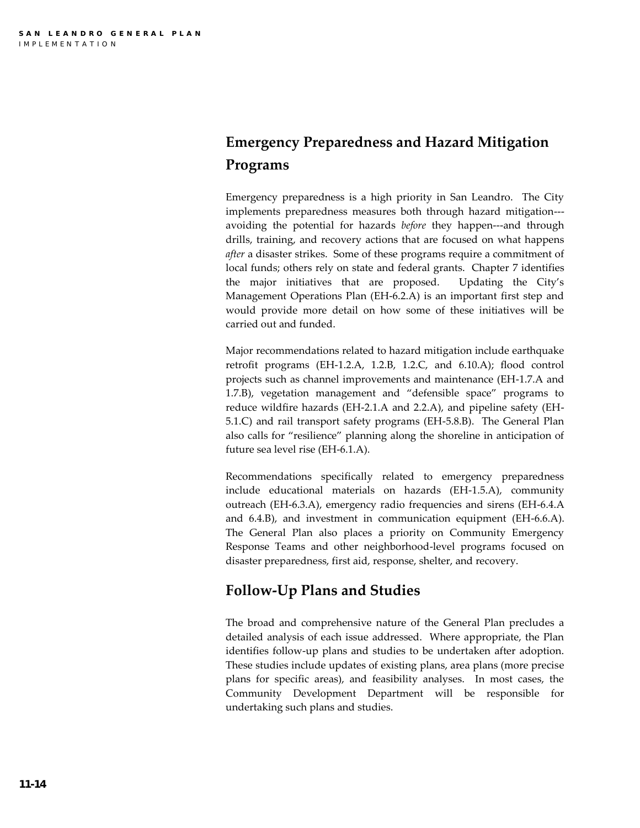# **Emergency Preparedness and Hazard Mitigation Programs**

Emergency preparedness is a high priority in San Leandro. The City implements preparedness measures both through hazard mitigation-- avoiding the potential for hazards *before* they happen---and through drills, training, and recovery actions that are focused on what happens *after* a disaster strikes. Some of these programs require a commitment of local funds; others rely on state and federal grants. Chapter 7 identifies the major initiatives that are proposed. Updating the City's Management Operations Plan (EH-6.2.A) is an important first step and would provide more detail on how some of these initiatives will be carried out and funded.

Major recommendations related to hazard mitigation include earthquake retrofit programs (EH-1.2.A, 1.2.B, 1.2.C, and 6.10.A); flood control projects such as channel improvements and maintenance (EH-1.7.A and 1.7.B), vegetation management and "defensible space" programs to reduce wildfire hazards (EH-2.1.A and 2.2.A), and pipeline safety (EH-5.1.C) and rail transport safety programs (EH-5.8.B). The General Plan also calls for "resilience" planning along the shoreline in anticipation of future sea level rise (EH-6.1.A).

Recommendations specifically related to emergency preparedness include educational materials on hazards (EH-1.5.A), community outreach (EH-6.3.A), emergency radio frequencies and sirens (EH-6.4.A and 6.4.B), and investment in communication equipment (EH-6.6.A). The General Plan also places a priority on Community Emergency Response Teams and other neighborhood-level programs focused on disaster preparedness, first aid, response, shelter, and recovery.

# **Follow-Up Plans and Studies**

The broad and comprehensive nature of the General Plan precludes a detailed analysis of each issue addressed. Where appropriate, the Plan identifies follow-up plans and studies to be undertaken after adoption. These studies include updates of existing plans, area plans (more precise plans for specific areas), and feasibility analyses. In most cases, the Community Development Department will be responsible for undertaking such plans and studies.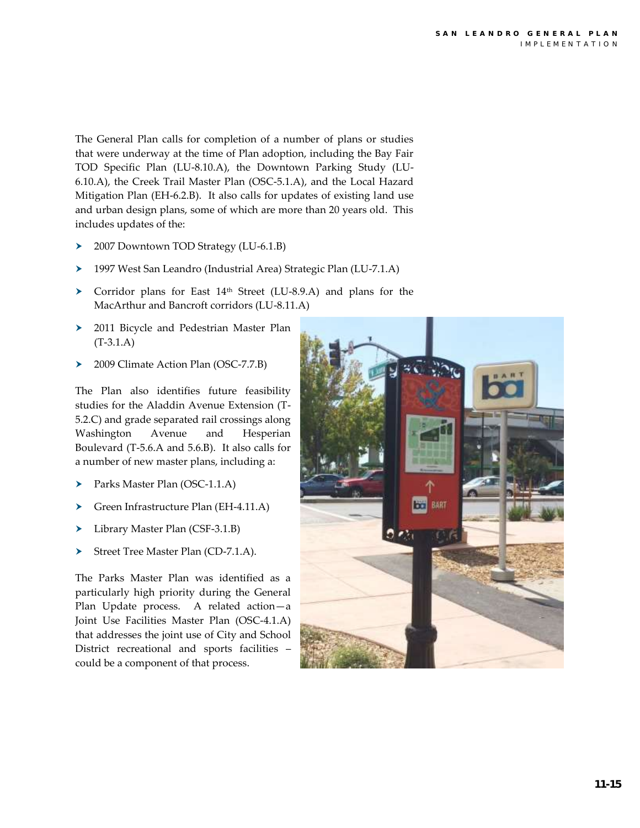The General Plan calls for completion of a number of plans or studies that were underway at the time of Plan adoption, including the Bay Fair TOD Specific Plan (LU-8.10.A), the Downtown Parking Study (LU-6.10.A), the Creek Trail Master Plan (OSC-5.1.A), and the Local Hazard Mitigation Plan (EH-6.2.B). It also calls for updates of existing land use and urban design plans, some of which are more than 20 years old. This includes updates of the:

- > 2007 Downtown TOD Strategy (LU-6.1.B)
- 1997 West San Leandro (Industrial Area) Strategic Plan (LU-7.1.A)
- ▶ Corridor plans for East 14<sup>th</sup> Street (LU-8.9.A) and plans for the MacArthur and Bancroft corridors (LU-8.11.A)
- 2011 Bicycle and Pedestrian Master Plan (T-3.1.A)
- ▶ 2009 Climate Action Plan (OSC-7.7.B)

The Plan also identifies future feasibility studies for the Aladdin Avenue Extension (T-5.2.C) and grade separated rail crossings along Washington Avenue and Hesperian Boulevard (T-5.6.A and 5.6.B). It also calls for a number of new master plans, including a:

- Parks Master Plan (OSC-1.1.A)
- Green Infrastructure Plan (EH-4.11.A)
- Library Master Plan (CSF-3.1.B)
- Street Tree Master Plan (CD-7.1.A).

The Parks Master Plan was identified as a particularly high priority during the General Plan Update process. A related action—a Joint Use Facilities Master Plan (OSC-4.1.A) that addresses the joint use of City and School District recreational and sports facilities – could be a component of that process.

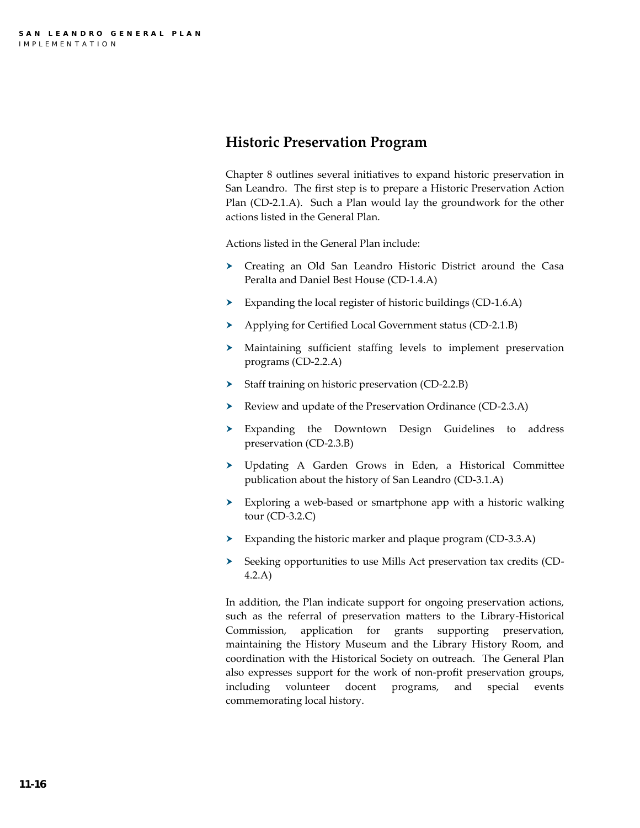## **Historic Preservation Program**

Chapter 8 outlines several initiatives to expand historic preservation in San Leandro. The first step is to prepare a Historic Preservation Action Plan (CD-2.1.A). Such a Plan would lay the groundwork for the other actions listed in the General Plan.

Actions listed in the General Plan include:

- Creating an Old San Leandro Historic District around the Casa Peralta and Daniel Best House (CD-1.4.A)
- Expanding the local register of historic buildings (CD-1.6.A)
- Applying for Certified Local Government status (CD-2.1.B)
- Maintaining sufficient staffing levels to implement preservation programs (CD-2.2.A)
- Staff training on historic preservation (CD-2.2.B)
- Review and update of the Preservation Ordinance (CD-2.3.A)
- Expanding the Downtown Design Guidelines to address preservation (CD-2.3.B)
- Updating A Garden Grows in Eden, a Historical Committee publication about the history of San Leandro (CD-3.1.A)
- Exploring a web-based or smartphone app with a historic walking tour (CD-3.2.C)
- Expanding the historic marker and plaque program (CD-3.3.A)
- Seeking opportunities to use Mills Act preservation tax credits (CD-4.2.A)

In addition, the Plan indicate support for ongoing preservation actions, such as the referral of preservation matters to the Library-Historical Commission, application for grants supporting preservation, maintaining the History Museum and the Library History Room, and coordination with the Historical Society on outreach. The General Plan also expresses support for the work of non-profit preservation groups, including volunteer docent programs, and special events commemorating local history.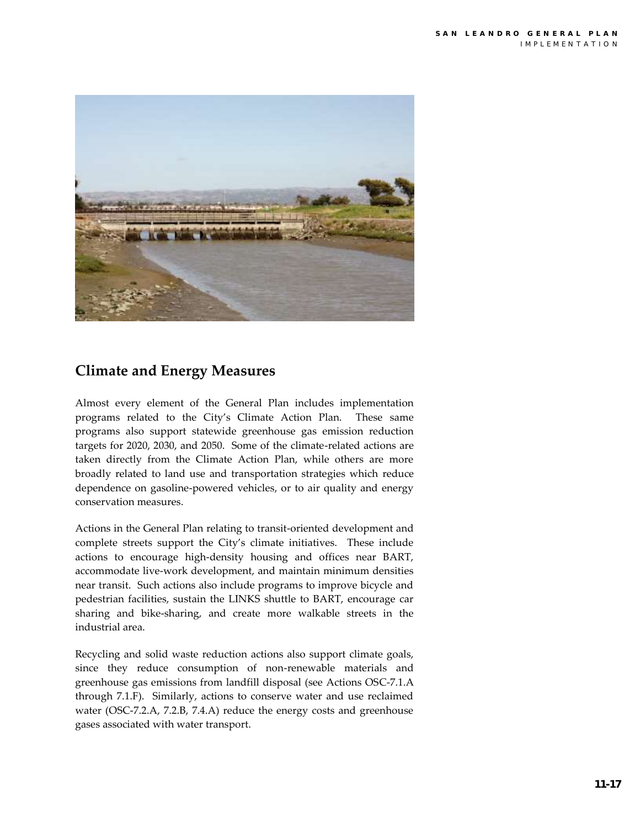

# **Climate and Energy Measures**

Almost every element of the General Plan includes implementation programs related to the City's Climate Action Plan. These same programs also support statewide greenhouse gas emission reduction targets for 2020, 2030, and 2050. Some of the climate-related actions are taken directly from the Climate Action Plan, while others are more broadly related to land use and transportation strategies which reduce dependence on gasoline-powered vehicles, or to air quality and energy conservation measures.

Actions in the General Plan relating to transit-oriented development and complete streets support the City's climate initiatives. These include actions to encourage high-density housing and offices near BART, accommodate live-work development, and maintain minimum densities near transit. Such actions also include programs to improve bicycle and pedestrian facilities, sustain the LINKS shuttle to BART, encourage car sharing and bike-sharing, and create more walkable streets in the industrial area.

Recycling and solid waste reduction actions also support climate goals, since they reduce consumption of non-renewable materials and greenhouse gas emissions from landfill disposal (see Actions OSC-7.1.A through 7.1.F). Similarly, actions to conserve water and use reclaimed water (OSC-7.2.A, 7.2.B, 7.4.A) reduce the energy costs and greenhouse gases associated with water transport.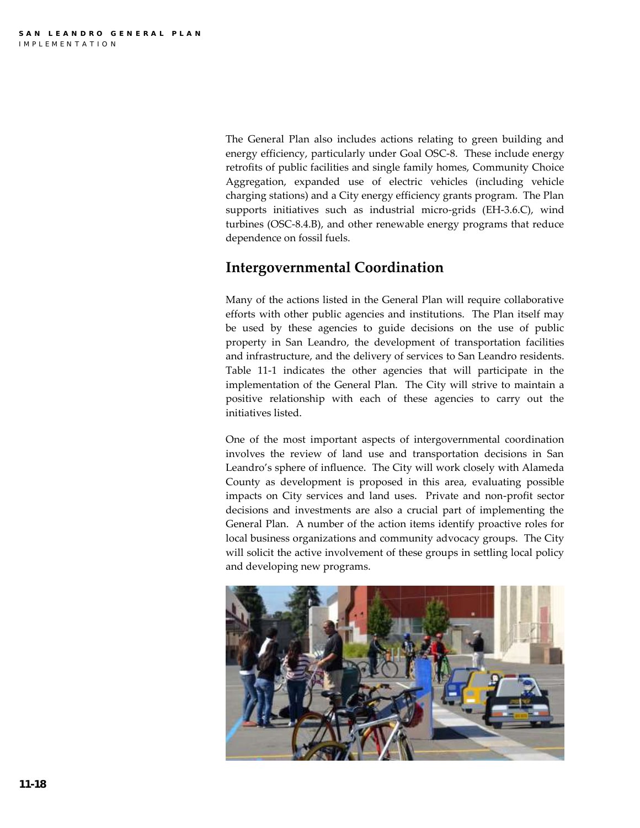The General Plan also includes actions relating to green building and energy efficiency, particularly under Goal OSC-8. These include energy retrofits of public facilities and single family homes, Community Choice Aggregation, expanded use of electric vehicles (including vehicle charging stations) and a City energy efficiency grants program. The Plan supports initiatives such as industrial micro-grids (EH-3.6.C), wind turbines (OSC-8.4.B), and other renewable energy programs that reduce dependence on fossil fuels.

# **Intergovernmental Coordination**

Many of the actions listed in the General Plan will require collaborative efforts with other public agencies and institutions. The Plan itself may be used by these agencies to guide decisions on the use of public property in San Leandro, the development of transportation facilities and infrastructure, and the delivery of services to San Leandro residents. Table 11-1 indicates the other agencies that will participate in the implementation of the General Plan. The City will strive to maintain a positive relationship with each of these agencies to carry out the initiatives listed.

One of the most important aspects of intergovernmental coordination involves the review of land use and transportation decisions in San Leandro's sphere of influence. The City will work closely with Alameda County as development is proposed in this area, evaluating possible impacts on City services and land uses. Private and non-profit sector decisions and investments are also a crucial part of implementing the General Plan. A number of the action items identify proactive roles for local business organizations and community advocacy groups. The City will solicit the active involvement of these groups in settling local policy and developing new programs.

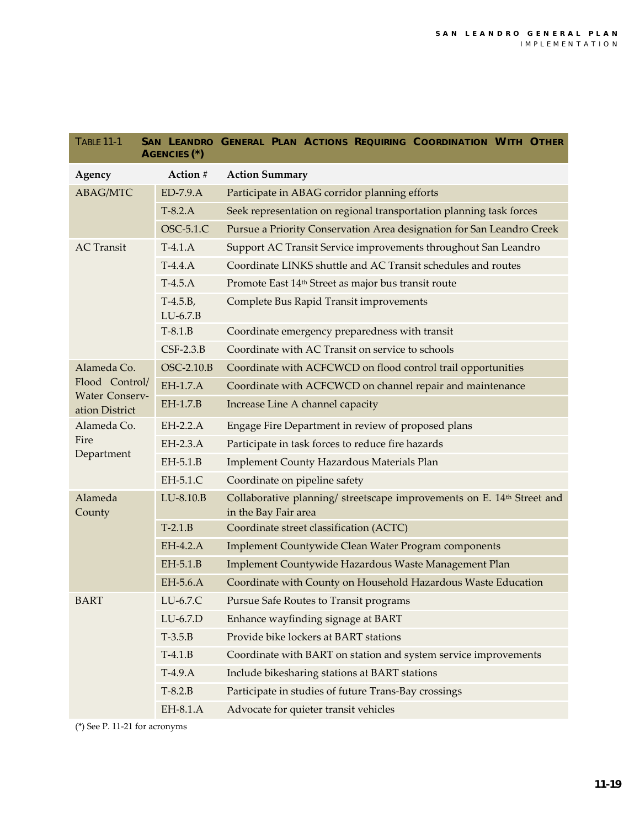| <b>TABLE 11-1</b><br>SAN LEANDRO GENERAL PLAN ACTIONS REQUIRING COORDINATION WITH OTHER<br>AGENCIES <sup>(*)</sup> |                          |                                                                                                            |  |  |
|--------------------------------------------------------------------------------------------------------------------|--------------------------|------------------------------------------------------------------------------------------------------------|--|--|
| Agency                                                                                                             | Action #                 | <b>Action Summary</b>                                                                                      |  |  |
| <b>ABAG/MTC</b>                                                                                                    | $ED-7.9.A$               | Participate in ABAG corridor planning efforts                                                              |  |  |
|                                                                                                                    | $T-8.2.A$                | Seek representation on regional transportation planning task forces                                        |  |  |
|                                                                                                                    | OSC-5.1.C                | Pursue a Priority Conservation Area designation for San Leandro Creek                                      |  |  |
| <b>AC</b> Transit                                                                                                  | $T-4.1.A$                | Support AC Transit Service improvements throughout San Leandro                                             |  |  |
|                                                                                                                    | $T-4.4.A$                | Coordinate LINKS shuttle and AC Transit schedules and routes                                               |  |  |
|                                                                                                                    | $T-4.5.A$                | Promote East 14 <sup>th</sup> Street as major bus transit route                                            |  |  |
|                                                                                                                    | $T-4.5.B,$<br>$LU-6.7.B$ | <b>Complete Bus Rapid Transit improvements</b>                                                             |  |  |
|                                                                                                                    | $T-8.1.B$                | Coordinate emergency preparedness with transit                                                             |  |  |
|                                                                                                                    | $CSF-2.3.B$              | Coordinate with AC Transit on service to schools                                                           |  |  |
| Alameda Co.<br>Flood Control/<br><b>Water Conserv-</b><br>ation District                                           | OSC-2.10.B               | Coordinate with ACFCWCD on flood control trail opportunities                                               |  |  |
|                                                                                                                    | EH-1.7.A                 | Coordinate with ACFCWCD on channel repair and maintenance                                                  |  |  |
|                                                                                                                    | EH-1.7.B                 | Increase Line A channel capacity                                                                           |  |  |
| Alameda Co.<br>Fire<br>Department                                                                                  | $EH-2.2.A$               | Engage Fire Department in review of proposed plans                                                         |  |  |
|                                                                                                                    | EH-2.3.A                 | Participate in task forces to reduce fire hazards                                                          |  |  |
|                                                                                                                    | $EH-5.1.B$               | <b>Implement County Hazardous Materials Plan</b>                                                           |  |  |
|                                                                                                                    | EH-5.1.C                 | Coordinate on pipeline safety                                                                              |  |  |
| Alameda<br>County                                                                                                  | LU-8.10.B                | Collaborative planning/ streetscape improvements on E. 14 <sup>th</sup> Street and<br>in the Bay Fair area |  |  |
|                                                                                                                    | $T-2.1.B$                | Coordinate street classification (ACTC)                                                                    |  |  |
|                                                                                                                    | EH-4.2.A                 | Implement Countywide Clean Water Program components                                                        |  |  |
|                                                                                                                    | EH-5.1.B                 | Implement Countywide Hazardous Waste Management Plan                                                       |  |  |
|                                                                                                                    | EH-5.6.A                 | Coordinate with County on Household Hazardous Waste Education                                              |  |  |
| <b>BART</b>                                                                                                        | LU-6.7.C                 | Pursue Safe Routes to Transit programs                                                                     |  |  |
|                                                                                                                    | $LU-6.7.D$               | Enhance wayfinding signage at BART                                                                         |  |  |
|                                                                                                                    | $T-3.5.B$                | Provide bike lockers at BART stations                                                                      |  |  |
|                                                                                                                    | $T-4.1.B$                | Coordinate with BART on station and system service improvements                                            |  |  |
|                                                                                                                    | $T-4.9.A$                | Include bikesharing stations at BART stations                                                              |  |  |
|                                                                                                                    | $T-8.2.B$                | Participate in studies of future Trans-Bay crossings                                                       |  |  |
|                                                                                                                    | EH-8.1.A                 | Advocate for quieter transit vehicles                                                                      |  |  |

(\*) See P. 11-21 for acronyms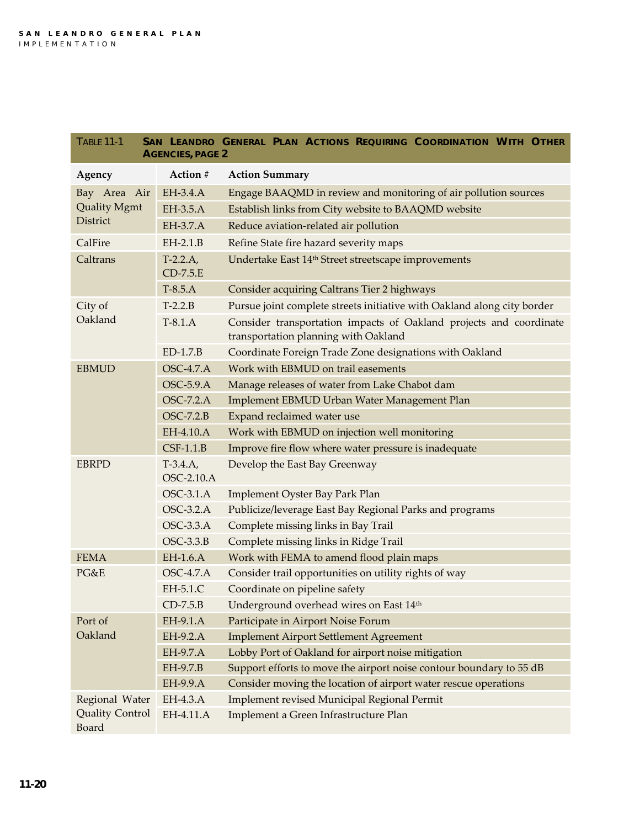| <b>TABLE 11-1</b><br>SAN LEANDRO GENERAL PLAN ACTIONS REQUIRING COORDINATION WITH OTHER<br><b>AGENCIES, PAGE 2</b> |                                 |                                                                         |  |  |
|--------------------------------------------------------------------------------------------------------------------|---------------------------------|-------------------------------------------------------------------------|--|--|
| Agency                                                                                                             | Action #                        | <b>Action Summary</b>                                                   |  |  |
| Bay Area Air<br><b>Quality Mgmt</b><br>District                                                                    | EH-3.4.A                        | Engage BAAQMD in review and monitoring of air pollution sources         |  |  |
|                                                                                                                    | EH-3.5.A                        | Establish links from City website to BAAQMD website                     |  |  |
|                                                                                                                    | EH-3.7.A                        | Reduce aviation-related air pollution                                   |  |  |
| CalFire                                                                                                            | $EH-2.1.B$                      | Refine State fire hazard severity maps                                  |  |  |
| Caltrans                                                                                                           | $T-2.2.A,$<br>$CD-7.5.E$        | Undertake East 14 <sup>th</sup> Street streetscape improvements         |  |  |
|                                                                                                                    | $T-8.5.A$                       | Consider acquiring Caltrans Tier 2 highways                             |  |  |
| City of<br>Oakland                                                                                                 | $T-2.2.B$                       | Pursue joint complete streets initiative with Oakland along city border |  |  |
|                                                                                                                    | $T-8.1.A$                       | Consider transportation impacts of Oakland projects and coordinate      |  |  |
|                                                                                                                    |                                 | transportation planning with Oakland                                    |  |  |
|                                                                                                                    | $ED-1.7.B$                      | Coordinate Foreign Trade Zone designations with Oakland                 |  |  |
| <b>EBMUD</b>                                                                                                       | <b>OSC-4.7.A</b>                | Work with EBMUD on trail easements                                      |  |  |
|                                                                                                                    | <b>OSC-5.9.A</b>                | Manage releases of water from Lake Chabot dam                           |  |  |
|                                                                                                                    | <b>OSC-7.2.A</b>                | Implement EBMUD Urban Water Management Plan                             |  |  |
|                                                                                                                    | $OSC-7.2.B$                     | Expand reclaimed water use                                              |  |  |
|                                                                                                                    | EH-4.10.A                       | Work with EBMUD on injection well monitoring                            |  |  |
|                                                                                                                    | $CSF-1.1.B$                     | Improve fire flow where water pressure is inadequate                    |  |  |
| <b>EBRPD</b>                                                                                                       | $T-3.4.A,$<br><b>OSC-2.10.A</b> | Develop the East Bay Greenway                                           |  |  |
|                                                                                                                    | <b>OSC-3.1.A</b>                | Implement Oyster Bay Park Plan                                          |  |  |
|                                                                                                                    | OSC-3.2.A                       | Publicize/leverage East Bay Regional Parks and programs                 |  |  |
|                                                                                                                    | <b>OSC-3.3.A</b>                | Complete missing links in Bay Trail                                     |  |  |
|                                                                                                                    | $OSC-3.3.B$                     | Complete missing links in Ridge Trail                                   |  |  |
| <b>FEMA</b>                                                                                                        | EH-1.6.A                        | Work with FEMA to amend flood plain maps                                |  |  |
| PG&E                                                                                                               | <b>OSC-4.7.A</b>                | Consider trail opportunities on utility rights of way                   |  |  |
|                                                                                                                    | EH-5.1.C                        | Coordinate on pipeline safety                                           |  |  |
|                                                                                                                    | $CD-7.5.B$                      | Underground overhead wires on East 14th                                 |  |  |
| Port of<br>Oakland                                                                                                 | EH-9.1.A                        | Participate in Airport Noise Forum                                      |  |  |
|                                                                                                                    | EH-9.2.A                        | <b>Implement Airport Settlement Agreement</b>                           |  |  |
|                                                                                                                    | EH-9.7.A                        | Lobby Port of Oakland for airport noise mitigation                      |  |  |
|                                                                                                                    | EH-9.7.B                        | Support efforts to move the airport noise contour boundary to 55 dB     |  |  |
|                                                                                                                    | EH-9.9.A                        | Consider moving the location of airport water rescue operations         |  |  |
| Regional Water<br><b>Quality Control</b><br>Board                                                                  | EH-4.3.A                        | Implement revised Municipal Regional Permit                             |  |  |
|                                                                                                                    | EH-4.11.A                       | Implement a Green Infrastructure Plan                                   |  |  |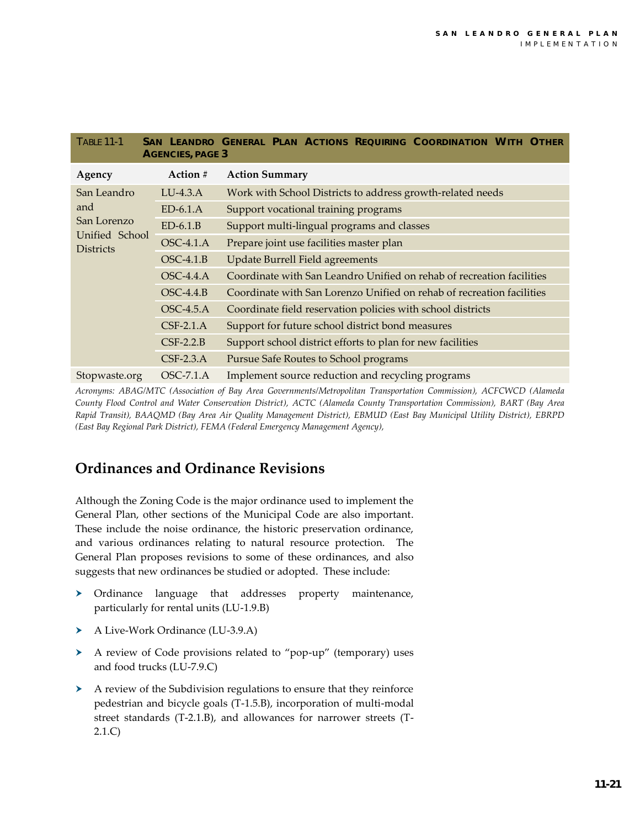| <b>TABLE 11-1</b><br>SAN LEANDRO GENERAL PLAN ACTIONS REQUIRING COORDINATION WITH OTHER<br><b>AGENCIES, PAGE 3</b> |             |                                                                       |  |  |  |
|--------------------------------------------------------------------------------------------------------------------|-------------|-----------------------------------------------------------------------|--|--|--|
| Agency                                                                                                             | Action #    | <b>Action Summary</b>                                                 |  |  |  |
| San Leandro<br>and<br>San Lorenzo<br>Unified School<br><b>Districts</b>                                            | $LU-4.3.A$  | Work with School Districts to address growth-related needs            |  |  |  |
|                                                                                                                    | $ED-6.1.A$  | Support vocational training programs                                  |  |  |  |
|                                                                                                                    | $ED-6.1.B$  | Support multi-lingual programs and classes                            |  |  |  |
|                                                                                                                    | OSC-4.1.A   | Prepare joint use facilities master plan                              |  |  |  |
|                                                                                                                    | $OSC-4.1.B$ | <b>Update Burrell Field agreements</b>                                |  |  |  |
|                                                                                                                    | $OSC-4.4.A$ | Coordinate with San Leandro Unified on rehab of recreation facilities |  |  |  |
|                                                                                                                    | $OSC-4.4.B$ | Coordinate with San Lorenzo Unified on rehab of recreation facilities |  |  |  |
|                                                                                                                    | $OSC-4.5.A$ | Coordinate field reservation policies with school districts           |  |  |  |
|                                                                                                                    | $CSF-2.1.A$ | Support for future school district bond measures                      |  |  |  |
|                                                                                                                    | $CSF-2.2.B$ | Support school district efforts to plan for new facilities            |  |  |  |
|                                                                                                                    | $CSF-2.3.A$ | Pursue Safe Routes to School programs                                 |  |  |  |
| Stopwaste.org                                                                                                      | $OSC-7.1.A$ | Implement source reduction and recycling programs                     |  |  |  |

*Acronyms: ABAG/MTC (Association of Bay Area Governments/Metropolitan Transportation Commission), ACFCWCD (Alameda County Flood Control and Water Conservation District), ACTC (Alameda County Transportation Commission), BART (Bay Area Rapid Transit), BAAQMD (Bay Area Air Quality Management District), EBMUD (East Bay Municipal Utility District), EBRPD (East Bay Regional Park District), FEMA (Federal Emergency Management Agency),* 

# **Ordinances and Ordinance Revisions**

Although the Zoning Code is the major ordinance used to implement the General Plan, other sections of the Municipal Code are also important. These include the noise ordinance, the historic preservation ordinance, and various ordinances relating to natural resource protection. The General Plan proposes revisions to some of these ordinances, and also suggests that new ordinances be studied or adopted. These include:

- > Ordinance language that addresses property maintenance, particularly for rental units (LU-1.9.B)
- A Live-Work Ordinance (LU-3.9.A)
- A review of Code provisions related to "pop-up" (temporary) uses and food trucks (LU-7.9.C)
- A review of the Subdivision regulations to ensure that they reinforce pedestrian and bicycle goals (T-1.5.B), incorporation of multi-modal street standards (T-2.1.B), and allowances for narrower streets (T-2.1.C)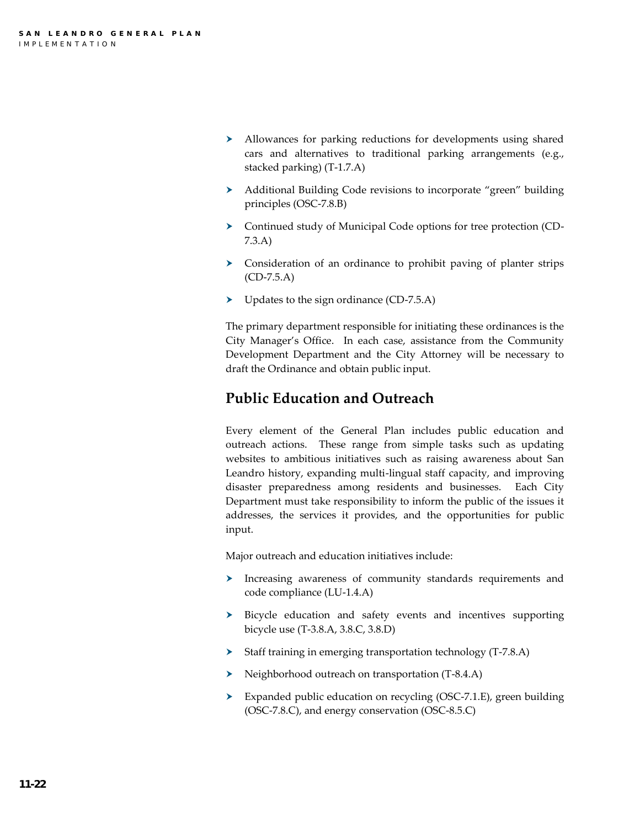- Allowances for parking reductions for developments using shared cars and alternatives to traditional parking arrangements (e.g., stacked parking) (T-1.7.A)
- Additional Building Code revisions to incorporate "green" building principles (OSC-7.8.B)
- Continued study of Municipal Code options for tree protection (CD-7.3.A)
- Consideration of an ordinance to prohibit paving of planter strips (CD-7.5.A)
- Dependence (CD-7.5.A) Updates to the sign ordinance (CD-7.5.A)

The primary department responsible for initiating these ordinances is the City Manager's Office. In each case, assistance from the Community Development Department and the City Attorney will be necessary to draft the Ordinance and obtain public input.

# **Public Education and Outreach**

Every element of the General Plan includes public education and outreach actions. These range from simple tasks such as updating websites to ambitious initiatives such as raising awareness about San Leandro history, expanding multi-lingual staff capacity, and improving disaster preparedness among residents and businesses. Each City Department must take responsibility to inform the public of the issues it addresses, the services it provides, and the opportunities for public input.

Major outreach and education initiatives include:

- Increasing awareness of community standards requirements and code compliance (LU-1.4.A)
- Bicycle education and safety events and incentives supporting bicycle use (T-3.8.A, 3.8.C, 3.8.D)
- $\triangleright$  Staff training in emerging transportation technology (T-7.8.A)
- Neighborhood outreach on transportation (T-8.4.A)
- Expanded public education on recycling (OSC-7.1.E), green building (OSC-7.8.C), and energy conservation (OSC-8.5.C)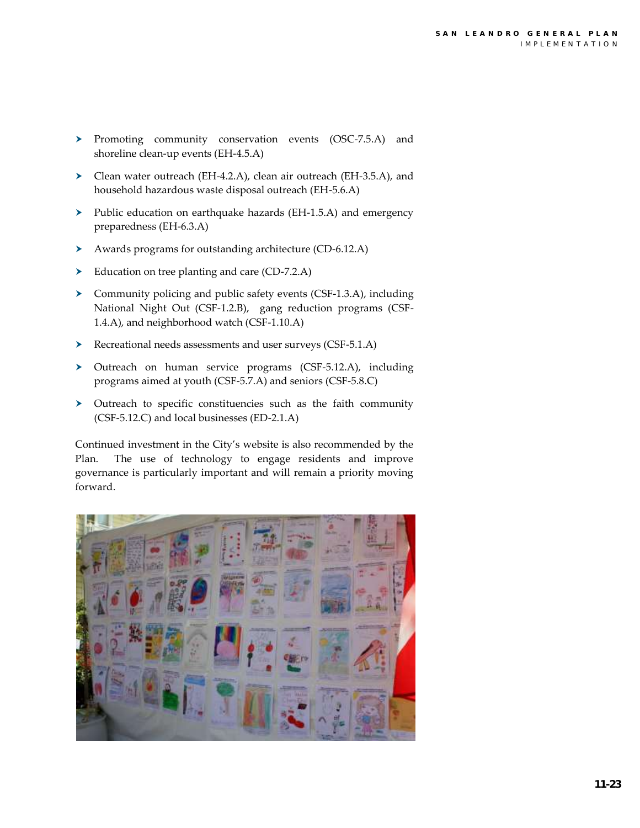- > Promoting community conservation events (OSC-7.5.A) and shoreline clean-up events (EH-4.5.A)
- Clean water outreach (EH-4.2.A), clean air outreach (EH-3.5.A), and household hazardous waste disposal outreach (EH-5.6.A)
- $\triangleright$  Public education on earthquake hazards (EH-1.5.A) and emergency preparedness (EH-6.3.A)
- Awards programs for outstanding architecture (CD-6.12.A)
- Education on tree planting and care (CD-7.2.A)
- $\triangleright$  Community policing and public safety events (CSF-1.3.A), including National Night Out (CSF-1.2.B), gang reduction programs (CSF-1.4.A), and neighborhood watch (CSF-1.10.A)
- Recreational needs assessments and user surveys (CSF-5.1.A)
- Outreach on human service programs (CSF-5.12.A), including programs aimed at youth (CSF-5.7.A) and seniors (CSF-5.8.C)
- Outreach to specific constituencies such as the faith community (CSF-5.12.C) and local businesses (ED-2.1.A)

Continued investment in the City's website is also recommended by the Plan. The use of technology to engage residents and improve governance is particularly important and will remain a priority moving forward.